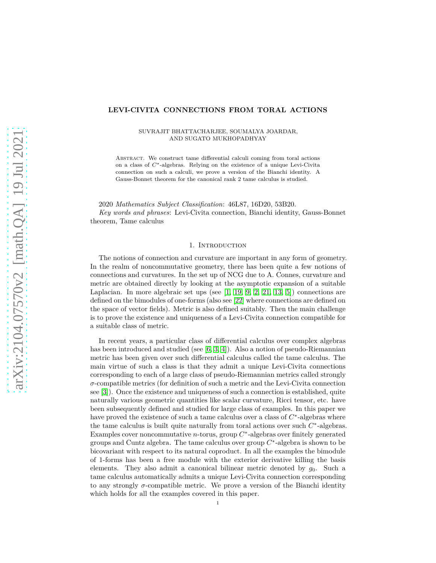### **LEVI-CIVITA CONNECTIONS FROM TORAL ACTIONS**

SUVRAJIT BHATTACHARJEE, SOUMALYA JOARDAR, AND SUGATO MUKHOPADHYAY

Abstract. We construct tame differential calculi coming from toral actions on a class of *C*<sup>∗</sup> -algebras. Relying on the existence of a unique Levi-Civita connection on such a calculi, we prove a version of the Bianchi identity. A Gauss-Bonnet theorem for the canonical rank 2 tame calculus is studied.

2020 *Mathematics Subject Classification*: 46L87, 16D20, 53B20.

*Key words and phrases*: Levi-Civita connection, Bianchi identity, Gauss-Bonnet theorem, Tame calculus

### 1. Introduction

The notions of connection and curvature are important in any form of geometry. In the realm of noncommutative geometry, there has been quite a few notions of connections and curvatures. In the set up of NCG due to A. Connes, curvature and metric are obtained directly by looking at the asymptotic expansion of a suitable Laplacian. In more algebraic set ups (see  $[1, 19, 9, 2, 21, 13, 5]$  $[1, 19, 9, 2, 21, 13, 5]$  $[1, 19, 9, 2, 21, 13, 5]$  $[1, 19, 9, 2, 21, 13, 5]$  $[1, 19, 9, 2, 21, 13, 5]$  $[1, 19, 9, 2, 21, 13, 5]$  $[1, 19, 9, 2, 21, 13, 5]$  $[1, 19, 9, 2, 21, 13, 5]$ ) connections are defined on the bimodules of one-forms (also see [\[22\]](#page-19-6) where connections are defined on the space of vector fields). Metric is also defined suitably. Then the main challenge is to prove the existence and uniqueness of a Levi-Civita connection compatible for a suitable class of metric.

In recent years, a particular class of differential calculus over complex algebras has been introduced and studied (see [\[6,](#page-19-7) [3,](#page-19-8) [4\]](#page-19-9)). Also a notion of pseudo-Riemannian metric has been given over such differential calculus called the tame calculus. The main virtue of such a class is that they admit a unique Levi-Civita connections corresponding to each of a large class of pseudo-Riemannian metrics called strongly *σ*-compatible metrics (for definition of such a metric and the Levi-Civita connection see [\[3\]](#page-19-8)). Once the existence and uniqueness of such a connection is established, quite naturally various geometric quantities like scalar curvature, Ricci tensor, etc. have been subsequently defined and studied for large class of examples. In this paper we have proved the existence of such a tame calculus over a class of  $C^*$ -algebras where the tame calculus is built quite naturally from toral actions over such  $C^*$ -algebras. Examples cover noncommutative  $n$ -torus, group  $C^*$ -algebras over finitely generated groups and Cuntz algebra. The tame calculus over group *C* ∗ -algebra is shown to be bicovariant with respect to its natural coproduct. In all the examples the bimodule of 1-forms has been a free module with the exterior derivative killing the basis elements. They also admit a canonical bilinear metric denoted by *g*0. Such a tame calculus automatically admits a unique Levi-Civita connection corresponding to any strongly  $\sigma$ -compatible metric. We prove a version of the Bianchi identity which holds for all the examples covered in this paper.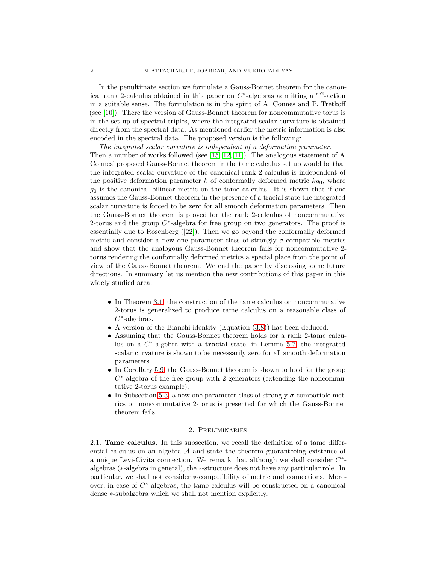In the penultimate section we formulate a Gauss-Bonnet theorem for the canonical rank 2-calculus obtained in this paper on  $C^*$ -algebras admitting a  $\mathbb{T}^2$ -action in a suitable sense. The formulation is in the spirit of A. Connes and P. Tretkoff (see [\[10\]](#page-19-10)). There the version of Gauss-Bonnet theorem for noncommutative torus is in the set up of spectral triples, where the integrated scalar curvature is obtained directly from the spectral data. As mentioned earlier the metric information is also encoded in the spectral data. The proposed version is the following:

*The integrated scalar curvature is independent of a deformation parameter*. Then a number of works followed (see [\[15,](#page-19-11) [12,](#page-19-12) [11\]](#page-19-13)). The analogous statement of A. Connes' proposed Gauss-Bonnet theorem in the tame calculus set up would be that the integrated scalar curvature of the canonical rank 2-calculus is independent of the positive deformation parameter  $k$  of conformally deformed metric  $k g_0$ , where  $g_0$  is the canonical bilinear metric on the tame calculus. It is shown that if one assumes the Gauss-Bonnet theorem in the presence of a tracial state the integrated scalar curvature is forced to be zero for all smooth deformation parameters. Then the Gauss-Bonnet theorem is proved for the rank 2-calculus of noncommutative 2-torus and the group  $C^*$ -algebra for free group on two generators. The proof is essentially due to Rosenberg([\[22\]](#page-19-6)). Then we go beyond the conformally deformed metric and consider a new one parameter class of strongly *σ*-compatible metrics and show that the analogous Gauss-Bonnet theorem fails for noncommutative 2 torus rendering the conformally deformed metrics a special place from the point of view of the Gauss-Bonnet theorem. We end the paper by discussing some future directions. In summary let us mention the new contributions of this paper in this widely studied area:

- In Theorem [3.1,](#page-7-0) the construction of the tame calculus on noncommutative 2-torus is generalized to produce tame calculus on a reasonable class of *C* ∗ -algebras.
- A version of the Bianchi identity (Equation [\(3.8\)](#page-10-0)) has been deduced.
- Assuming that the Gauss-Bonnet theorem holds for a rank 2-tame calculus on a  $C^*$ -algebra with a **tracial** state, in Lemma [5.7,](#page-15-0) the integrated scalar curvature is shown to be necessarily zero for all smooth deformation parameters.
- In Corollary [5.9,](#page-16-0) the Gauss-Bonnet theorem is shown to hold for the group *C*<sup>\*</sup>-algebra of the free group with 2-generators (extending the noncommutative 2-torus example).
- In Subsection [5.3,](#page-16-1) a new one parameter class of strongly  $\sigma$ -compatible metrics on noncommutative 2-torus is presented for which the Gauss-Bonnet theorem fails.

## 2. Preliminaries

2.1. **Tame calculus.** In this subsection, we recall the definition of a tame differential calculus on an algebra  $A$  and state the theorem guaranteeing existence of a unique Levi-Civita connection. We remark that although we shall consider *C* ∗ algebras (∗-algebra in general), the ∗-structure does not have any particular role. In particular, we shall not consider ∗-compatibility of metric and connections. Moreover, in case of  $C^*$ -algebras, the tame calculus will be constructed on a canonical dense ∗-subalgebra which we shall not mention explicitly.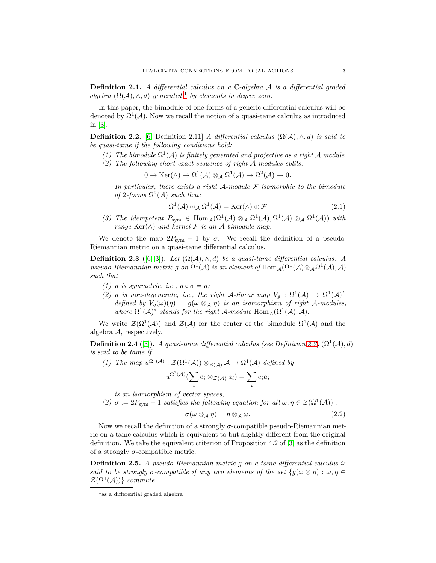**Definition 2.1.** *A differential calculus on a* C*-algebra* A *is a differential graded algebra*  $(\Omega(\mathcal{A}), \wedge, d)$  *generated*<sup>[1](#page-2-0)</sup> *by elements in degree zero.* 

In this paper, the bimodule of one-forms of a generic differential calculus will be denoted by  $\Omega^1(\mathcal{A})$ . Now we recall the notion of a quasi-tame calculus as introduced in [\[3\]](#page-19-8).

<span id="page-2-1"></span>**Definition 2.2.** [\[6,](#page-19-7) Definition 2.11] *A differential calculus*  $(\Omega(\mathcal{A}), \wedge, d)$  *is said to be quasi-tame if the following conditions hold:*

- (1) The bimodule  $\Omega^1(\mathcal{A})$  is finitely generated and projective as a right  $\mathcal A$  module.
- *(2) The following short exact sequence of right* A*-modules splits:*

$$
0 \to \text{Ker}(\wedge) \to \Omega^1(\mathcal{A}) \otimes_{\mathcal{A}} \Omega^1(\mathcal{A}) \to \Omega^2(\mathcal{A}) \to 0.
$$

*In particular, there exists a right* A*-module* F *isomorphic to the bimodule of* 2*-forms*  $\Omega^2(\mathcal{A})$  *such that:* 

$$
\Omega^1(\mathcal{A}) \otimes_{\mathcal{A}} \Omega^1(\mathcal{A}) = \text{Ker}(\wedge) \oplus \mathcal{F}
$$
\n(2.1)

(3) The idempotent  $P_{sym} \in \text{Hom}_{\mathcal{A}}(\Omega^1(\mathcal{A}) \otimes_{\mathcal{A}} \Omega^1(\mathcal{A}), \Omega^1(\mathcal{A}) \otimes_{\mathcal{A}} \Omega^1(\mathcal{A}))$  with *range*  $\text{Ker}(\wedge)$  *and kernel*  $\mathcal F$  *is an A-bimodule map.* 

We denote the map  $2P_{sym} - 1$  by  $\sigma$ . We recall the definition of a pseudo-Riemannian metric on a quasi-tame differential calculus.

**Definition 2.3** ([\[6,](#page-19-7) [3\]](#page-19-8)). Let  $(\Omega(\mathcal{A}), \wedge, d)$  be a quasi-tame differential calculus. A  $pseudo-Riemannian$  metric  $g$  on  $\Omega^1(\mathcal{A})$  is an element of  $\text{Hom}_{\mathcal{A}}(\Omega^1(\mathcal{A})\otimes_{\mathcal{A}}\Omega^1(\mathcal{A}),\mathcal{A})$ *such that*

- *(1) g is symmetric, i.e.,*  $q \circ \sigma = q$ ;
- (2) *g* is non-degenerate, i.e., the right A-linear map  $V_g : \Omega^1(\mathcal{A}) \to \Omega^1(\mathcal{A})^*$ *defined by*  $V_g(\omega)(\eta) = g(\omega \otimes_A \eta)$  *is an isomorphism of right* A-modules, *where*  $\Omega^1(\mathcal{A})^*$  *stands for the right*  $\mathcal{A}\text{-module Hom}_{\mathcal{A}}(\Omega^1(\mathcal{A}), \mathcal{A})$ *.*

We write  $\mathcal{Z}(\Omega^1(\mathcal{A}))$  and  $\mathcal{Z}(\mathcal{A})$  for the center of the bimodule  $\Omega^1(\mathcal{A})$  and the algebra A, respectively.

**Definition 2.4** ([\[3\]](#page-19-8)). *A quasi-tame differential calculus (see Definition [2.2\)](#page-2-1)* ( $\Omega^1(\mathcal{A}), d$ ) *is said to be tame if*

(1) The map  $u^{\Omega^1(\mathcal{A})} : \mathcal{Z}(\Omega^1(\mathcal{A})) \otimes_{\mathcal{Z}(\mathcal{A})} \mathcal{A} \to \Omega^1(\mathcal{A})$  defined by  $u^{\Omega^1(\mathcal{A})}(\sum)$ *i*  $e_i \otimes_{\mathcal{Z}(\mathcal{A})} a_i) = \sum$ *i eia<sup>i</sup>*

*is an isomorphism of vector spaces,*

*(2)*  $\sigma := 2P_{sym} - 1$  *satisfies the following equation for all*  $\omega, \eta \in \mathcal{Z}(\Omega^1(\mathcal{A}))$ :

$$
\sigma(\omega \otimes_{\mathcal{A}} \eta) = \eta \otimes_{\mathcal{A}} \omega. \tag{2.2}
$$

Now we recall the definition of a strongly *σ*-compatible pseudo-Riemannian metric on a tame calculus which is equivalent to but slightly different from the original definition. We take the equivalent criterion of Proposition 4.2 of [\[3\]](#page-19-8) as the definition of a strongly  $\sigma$ -compatible metric.

**Definition 2.5.** *A pseudo-Riemannian metric g on a tame differential calculus is said to be strongly*  $\sigma$ -compatible if any two elements of the set  $\{g(\omega \otimes \eta) : \omega, \eta \in$  $\mathcal{Z}(\Omega^1(\mathcal{A}))$ } *commute.* 

<span id="page-2-0"></span> $\rm ^1$  as a differential graded algebra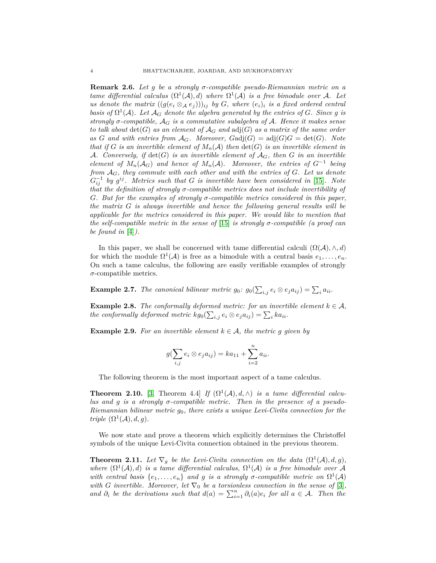<span id="page-3-1"></span>**Remark 2.6.** *Let g be a strongly σ-compatible pseudo-Riemannian metric on a tame differential calculus*  $(\Omega^1(\mathcal{A}), d)$  *where*  $\Omega^1(\mathcal{A})$  *is a free bimodule over* A. Let *us denote the matrix*  $((g(e_i \otimes_{\mathcal{A}} e_j)))_{ij}$  *by G, where*  $(e_i)_i$  *is a fixed ordered central basis of*  $\Omega^1(\mathcal{A})$ *. Let*  $\mathcal{A}_G$  *denote the algebra generated by the entries of G. Since g is strongly σ-compatible,* A*<sup>G</sup> is a commutative subalgebra of* A*. Hence it makes sense to talk about*  $det(G)$  *as an element of*  $A_G$  *and*  $adj(G)$  *as a matrix of the same order* as *G* and with entries from  $\mathcal{A}_G$ . Moreover,  $\text{Gadj}(G) = \text{adj}(G)G = \text{det}(G)$ . Note *that if G is an invertible element of*  $M_n(\mathcal{A})$  *then*  $\det(G)$  *is an invertible element in* A. Conversely, if  $\det(G)$  is an invertible element of  $A_G$ , then G in an invertible *element of*  $M_n(\mathcal{A}_G)$  *and hence of*  $M_n(\mathcal{A})$ *. Moreover, the entries of*  $G^{-1}$  *being from* A*G, they commute with each other and with the entries of G. Let us denote*  $G_{ij}^{-1}$  by  $g^{ij}$ . Metrics such that *G* is invertible have been considered in [\[15\]](#page-19-11). Note *that the definition of strongly σ-compatible metrics does not include invertibility of G. But for the examples of strongly σ-compatible metrics considered in this paper, the matrix G is always invertible and hence the following general results will be applicable for the metrics considered in this paper. We would like to mention that the self-compatible metric in the sense of* [\[15\]](#page-19-11) *is strongly σ-compatible (a proof can be found in* [\[4\]](#page-19-9)*).*

In this paper, we shall be concerned with tame differential calculi  $(\Omega(\mathcal{A}), \wedge, d)$ for which the module  $\Omega^1(\mathcal{A})$  is free as a bimodule with a central basis  $e_1, \ldots, e_n$ . On such a tame calculus, the following are easily verifiable examples of strongly *σ*-compatible metrics.

**Example 2.7.** *The canonical bilinear metric*  $g_0$ *:*  $g_0(\sum_{i,j} e_i \otimes e_j a_{ij}) = \sum_i a_{ii}$ *.* 

**Example 2.8.** *The conformally deformed metric: for an invertible element*  $k \in \mathcal{A}$ *, the conformally deformed metric*  $kg_0(\sum_{i,j} e_i \otimes e_j a_{ij}) = \sum_i ka_{ii}$ .

<span id="page-3-3"></span>**Example 2.9.** For an invertible element  $k \in \mathcal{A}$ , the metric *g given* by

$$
g(\sum_{i,j} e_i \otimes e_j a_{ij}) = ka_{11} + \sum_{i=2}^n a_{ii}.
$$

The following theorem is the most important aspect of a tame calculus.

<span id="page-3-2"></span>**Theorem 2.10.** [\[3,](#page-19-8) Theorem 4.4] *If*  $(\Omega^1(\mathcal{A}), d, \wedge)$  *is a tame differential calculus and g is a strongly σ-compatible metric. Then in the presence of a pseudo-Riemannian bilinear metric g*0*, there exists a unique Levi-Civita connection for the triple*  $(\Omega^1(\mathcal{A}), d, g)$ *.* 

We now state and prove a theorem which explicitly determines the Christoffel symbols of the unique Levi-Civita connection obtained in the previous theorem.

<span id="page-3-0"></span>**Theorem 2.11.** Let  $\nabla_g$  be the Levi-Civita connection on the data  $(\Omega^1(\mathcal{A}), d, g)$ , where  $(\Omega^1(\mathcal{A}), d)$  *is a tame differential calculus,*  $\Omega^1(\mathcal{A})$  *is a free bimodule over* A *with central basis*  $\{e_1, \ldots, e_n\}$  *and g is a strongly σ*-*compatible metric on*  $\Omega^1(\mathcal{A})$ *with G invertible.* Moreover, let  $\nabla_0$  *be a torsionless connection in the sense of* [\[3\]](#page-19-8)*, and*  $\partial_i$  *be the derivations such that*  $d(a) = \sum_{i=1}^n \partial_i(a)e_i$  *for all*  $a \in \mathcal{A}$ *. Then the*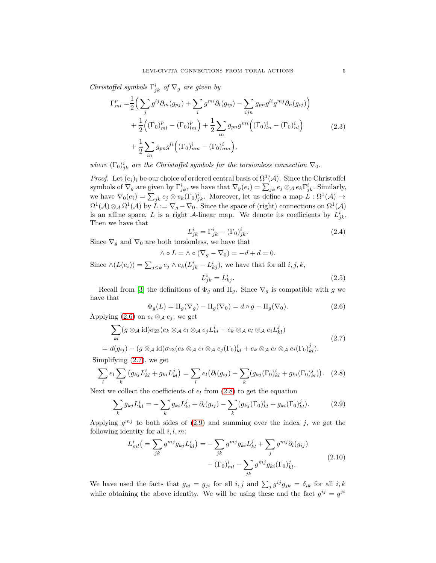*Christoffel symbols*  $\Gamma^i_{jk}$  *of*  $\nabla_g$  *are given by* 

<span id="page-4-7"></span>
$$
\Gamma_{ml}^{p} = \frac{1}{2} \Big( \sum_{j} g^{lj} \partial_{m} (g_{pj}) + \sum_{i} g^{mi} \partial_{l} (g_{ip}) - \sum_{ijn} g_{pn} g^{li} g^{mj} \partial_{n} (g_{ij}) \Big) + \frac{1}{2} \Big( (\Gamma_{0})_{ml}^{p} - (\Gamma_{0})_{lm}^{p} \Big) + \frac{1}{2} \sum_{in} g_{pn} g^{mi} \Big( (\Gamma_{0})_{ln}^{i} - (\Gamma_{0})_{nl}^{i} \Big) + \frac{1}{2} \sum_{in} g_{pn} g^{li} \Big( (\Gamma_{0})_{mn}^{i} - (\Gamma_{0})_{nm}^{i} \Big),
$$
(2.3)

*where*  $(\Gamma_0)^i_{jk}$  *are the Christoffel symbols for the torsionless connection*  $\nabla_0$ *.* 

*Proof.* Let  $(e_i)_i$  be our choice of ordered central basis of  $\Omega^1(\mathcal{A})$ . Since the Christoffel symbols of  $\nabla_g$  are given by  $\Gamma^i_{jk}$ , we have that  $\nabla_g(e_i) = \sum_{jk} e_j \otimes_{\mathcal{A}} e_k \Gamma^i_{jk}$ . Similarly, we have  $\nabla_0(e_i) = \sum_{jk} e_j \otimes e_k(\Gamma_0)_{jk}^i$ . Moreover, let us define a map  $L : \Omega^1(\mathcal{A}) \to$  $\Omega^1(\mathcal{A}) \otimes_{\mathcal{A}} \Omega^1(\mathcal{A})$  by  $L := \nabla_g - \nabla_0$ . Since the space of (right) connections on  $\Omega^1(\mathcal{A})$ is an affine space, *L* is a right *A*-linear map. We denote its coefficients by  $L_{jk}^{i}$ . Then we have that

<span id="page-4-6"></span>
$$
L_{jk}^i = \Gamma_{jk}^i - (\Gamma_0)_{jk}^i. \tag{2.4}
$$

Since  $\nabla_g$  and  $\nabla_0$  are both torsionless, we have that

$$
\wedge \circ L = \wedge \circ (\nabla_g - \nabla_0) = -d + d = 0.
$$

Since  $\wedge (L(e_i)) = \sum_{j \leq k} e_j \wedge e_k (L_{jk}^i - L_{kj}^i)$ , we have that for all *i*, *j*, *k*,  $i \equiv I^i$ 

<span id="page-4-4"></span>
$$
L_{jk}^i = L_{kj}^i. \tag{2.5}
$$

Recall from [\[3\]](#page-19-8) the definitions of  $\Phi_g$  and  $\Pi_g$ . Since  $\nabla_g$  is compatible with *g* we have that

<span id="page-4-0"></span>
$$
\Phi_g(L) = \Pi_g(\nabla_g) - \Pi_g(\nabla_0) = d \circ g - \Pi_g(\nabla_0). \tag{2.6}
$$

Applying  $(2.6)$  on  $e_i \otimes_{\mathcal{A}} e_j$ , we get

<span id="page-4-1"></span>
$$
\sum_{kl} (g \otimes_{\mathcal{A}} id) \sigma_{23} (e_k \otimes_{\mathcal{A}} e_l \otimes_{\mathcal{A}} e_j L^i_{kl} + e_k \otimes_{\mathcal{A}} e_l \otimes_{\mathcal{A}} e_i L^j_{kl})
$$
\n
$$
= d(g_{ij}) - (g \otimes_{\mathcal{A}} id) \sigma_{23} (e_k \otimes_{\mathcal{A}} e_l \otimes_{\mathcal{A}} e_j (\Gamma_0)^i_{kl} + e_k \otimes_{\mathcal{A}} e_l \otimes_{\mathcal{A}} e_i (\Gamma_0)^j_{kl}).
$$
\n(2.7)

Simplifying [\(2.7\)](#page-4-1), we get

<span id="page-4-2"></span>
$$
\sum_{l} e_l \sum_{k} \left( g_{kj} L^i_{kl} + g_{ki} L^j_{kl} \right) = \sum_{l} e_l \left( \partial_l (g_{ij}) - \sum_{k} (g_{kj} (\Gamma_0)^i_{kl} + g_{ki} (\Gamma_0)^j_{kl} \right). \tag{2.8}
$$

Next we collect the coefficients of  $e_l$  from  $(2.8)$  to get the equation

<span id="page-4-3"></span>
$$
\sum_{k} g_{kj} L_{kl}^{i} = -\sum_{k} g_{ki} L_{kl}^{j} + \partial_{l} (g_{ij}) - \sum_{k} (g_{kj} (\Gamma_{0})_{kl}^{i} + g_{ki} (\Gamma_{0})_{kl}^{j}). \tag{2.9}
$$

Applying  $g^{mj}$  to both sides of  $(2.9)$  and summing over the index *j*, we get the following identity for all *i, l, m*:

<span id="page-4-5"></span>
$$
L_{ml}^{i} \left( = \sum_{jk} g^{mj} g_{kj} L_{kl}^{i} \right) = -\sum_{jk} g^{mj} g_{ki} L_{kl}^{j} + \sum_{j} g^{mj} \partial_l (g_{ij})
$$

$$
- (\Gamma_0)_{ml}^{i} - \sum_{jk} g^{mj} g_{ki} (\Gamma_0)_{kl}^{j}.
$$
(2.10)

We have used the facts that  $g_{ij} = g_{ji}$  for all  $i, j$  and  $\sum_j g^{ij} g_{jk} = \delta_{ik}$  for all  $i, k$ while obtaining the above identity. We will be using these and the fact  $g^{ij} = g^{ji}$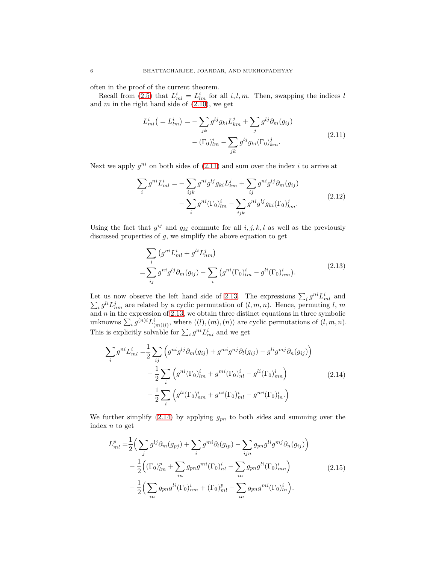often in the proof of the current theorem.

Recall from [\(2.5\)](#page-4-4) that  $L_{ml}^i = L_{lm}^i$  for all  $i, l, m$ . Then, swapping the indices *l* and  $m$  in the right hand side of  $(2.10)$ , we get

<span id="page-5-0"></span>
$$
L_{ml}^{i} \left( = L_{lm}^{i} \right) = -\sum_{jk} g^{lj} g_{ki} L_{km}^{j} + \sum_{j} g^{lj} \partial_{m} (g_{ij}) - (\Gamma_0)_{lm}^{i} - \sum_{jk} g^{lj} g_{ki} (\Gamma_0)_{km}^{j}.
$$
\n(2.11)

Next we apply  $g^{ni}$  on both sides of  $(2.11)$  and sum over the index *i* to arrive at

$$
\sum_{i} g^{ni} L_{ml}^{i} = -\sum_{ijk} g^{ni} g^{lj} g_{ki} L_{km}^{j} + \sum_{ij} g^{ni} g^{lj} \partial_{m} (g_{ij})
$$

$$
- \sum_{i} g^{ni} (\Gamma_{0})_{lm}^{i} - \sum_{ijk} g^{ni} g^{lj} g_{ki} (\Gamma_{0})_{km}^{j}.
$$
(2.12)

Using the fact that  $g^{ij}$  and  $g_{kl}$  commute for all  $i, j, k, l$  as well as the previously discussed properties of *g*, we simplify the above equation to get

<span id="page-5-1"></span>
$$
\sum_{i} \left( g^{ni} L_{ml}^{i} + g^{li} L_{nm}^{j} \right)
$$
\n
$$
= \sum_{ij} g^{ni} g^{lj} \partial_{m} (g_{ij}) - \sum_{i} \left( g^{ni} (\Gamma_0)_{lm}^{i} - g^{li} (\Gamma_0)_{nm}^{i} \right). \tag{2.13}
$$

Let us now observe the left hand side of [2.13.](#page-5-1) The expressions  $\sum_i g^{ni} L_{ml}^i$  and  $\sum_i g^{li} L^j_{nm}$  are related by a cyclic permutation of  $(l, m, n)$ . Hence, permuting *l*, *m* and *n* in the expression of [2.13,](#page-5-1) we obtain three distinct equations in three symbolic unknowns  $\sum_i g^{(n)i} L^i_{(m)(l)}$ , where  $((l), (m), (n))$  are cyclic permutations of  $(l, m, n)$ . This is explicitly solvable for  $\sum_i g^{ni} L_{ml}^i$  and we get

<span id="page-5-2"></span>
$$
\sum_{i} g^{ni} L_{ml}^{i} = \frac{1}{2} \sum_{ij} \left( g^{ni} g^{lj} \partial_m(g_{ij}) + g^{mi} g^{nj} \partial_l(g_{ij}) - g^{li} g^{mj} \partial_n(g_{ij}) \right) - \frac{1}{2} \sum_{i} \left( g^{ni} (\Gamma_0)_{lm}^i + g^{mi} (\Gamma_0)_{nl}^i - g^{li} (\Gamma_0)_{mn}^i \right) - \frac{1}{2} \sum_{i} \left( g^{li} (\Gamma_0)_{nm}^i + g^{ni} (\Gamma_0)_{ml}^i - g^{mi} (\Gamma_0)_{ln}^i \right)
$$
(2.14)

We further simplify  $(2.14)$  by applying  $g_{pn}$  to both sides and summing over the index *n* to get

$$
L_{ml}^{p} = \frac{1}{2} \Big( \sum_{j} g^{lj} \partial_{m} (g_{pj}) + \sum_{i} g^{mi} \partial_{l} (g_{ip}) - \sum_{ijn} g_{pn} g^{li} g^{mj} \partial_{n} (g_{ij}) \Big) - \frac{1}{2} \Big( (\Gamma_{0})_{lm}^{p} + \sum_{in} g_{pn} g^{mi} (\Gamma_{0})_{nl}^{i} - \sum_{in} g_{pn} g^{li} (\Gamma_{0})_{mn}^{i} \Big) - \frac{1}{2} \Big( \sum_{in} g_{pn} g^{li} (\Gamma_{0})_{nm}^{i} + (\Gamma_{0})_{ml}^{p} - \sum_{in} g_{pn} g^{mi} (\Gamma_{0})_{ln}^{i} \Big).
$$
 (2.15)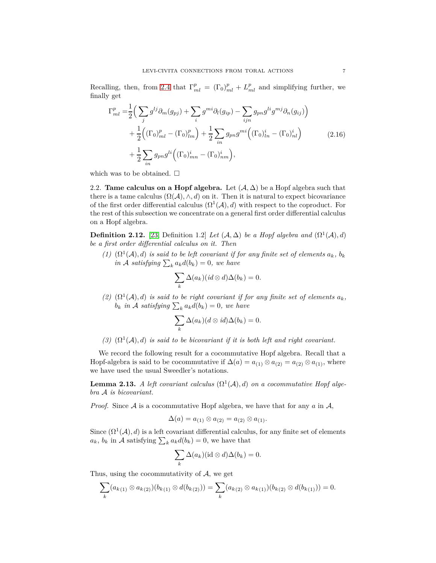Recalling, then, from [2.4](#page-4-6) that  $\Gamma_{ml}^p = (\Gamma_0)_{ml}^p + L_{ml}^p$  and simplifying further, we finally get

$$
\Gamma_{ml}^{p} = \frac{1}{2} \Big( \sum_{j} g^{lj} \partial_{m} (g_{pj}) + \sum_{i} g^{mi} \partial_{l} (g_{ip}) - \sum_{ijn} g_{pn} g^{li} g^{mj} \partial_{n} (g_{ij}) \Big) + \frac{1}{2} \Big( (\Gamma_{0})_{ml}^{p} - (\Gamma_{0})_{lm}^{p} \Big) + \frac{1}{2} \sum_{in} g_{pn} g^{mi} \Big( (\Gamma_{0})_{ln}^{i} - (\Gamma_{0})_{nl}^{i} \Big) + \frac{1}{2} \sum_{in} g_{pn} g^{li} \Big( (\Gamma_{0})_{mn}^{i} - (\Gamma_{0})_{nm}^{i} \Big),
$$
(2.16)

which was to be obtained.  $\square$ 

2.2. **Tame calculus on a Hopf algebra.** Let  $(A, \Delta)$  be a Hopf algebra such that there is a tame calculus  $(\Omega(\mathcal{A}), \wedge, d)$  on it. Then it is natural to expect bicovariance of the first order differential calculus  $(\Omega^1(\mathcal{A}), d)$  with respect to the coproduct. For the rest of this subsection we concentrate on a general first order differential calculus on a Hopf algebra.

**Definition 2.12.** [\[23,](#page-19-14) Definition 1.2] *Let*  $(A, \Delta)$  *be a Hopf algebra and*  $(\Omega^1(A), d)$ *be a first order differential calculus on it. Then*

 $(1)$   $(\Omega^1(\mathcal{A}), d)$  *is said to be left covariant if for any finite set of elements*  $a_k$ *, b<sub>k</sub>*  $\int_{k}^{n} a_k d(b_k) = 0$ , we have

$$
\sum_{k} \Delta(a_k) (id \otimes d) \Delta(b_k) = 0.
$$

(2)  $(\Omega^1(\mathcal{A}), d)$  *is said to be right covariant if for any finite set of elements*  $a_k$ ,  $b_k$  *in*  $\mathcal A$  *satisfying*  $\sum_k a_k d(b_k) = 0$ *, we have* 

$$
\sum_{k} \Delta(a_k) (d \otimes id) \Delta(b_k) = 0.
$$

(3)  $(\Omega^1(\mathcal{A}), d)$  *is said to be bicovariant if it is both left and right covariant.* 

We record the following result for a cocommutative Hopf algebra. Recall that a Hopf-algebra is said to be cocommutative if  $\Delta(a) = a_{(1)} \otimes a_{(2)} = a_{(2)} \otimes a_{(1)}$ , where we have used the usual Sweedler's notations.

<span id="page-6-0"></span>**Lemma 2.13.** *A left covariant calculus*  $(\Omega^1(\mathcal{A}), d)$  *on a cocommutative Hopf algebra* A *is bicovariant.*

*Proof.* Since A is a cocommutative Hopf algebra, we have that for any *a* in A,

$$
\Delta(a) = a_{(1)} \otimes a_{(2)} = a_{(2)} \otimes a_{(1)}.
$$

Since  $(\Omega^1(\mathcal{A}), d)$  is a left covariant differential calculus, for any finite set of elements  $a_k$ ,  $b_k$  in A satisfying  $\sum_k a_k d(b_k) = 0$ , we have that

$$
\sum_{k} \Delta(a_k) (\mathrm{id} \otimes d) \Delta(b_k) = 0.
$$

Thus, using the cocommutativity of  $A$ , we get

$$
\sum_{k} (a_{k(1)} \otimes a_{k(2)})(b_{k(1)} \otimes d(b_{k(2)})) = \sum_{k} (a_{k(2)} \otimes a_{k(1)})(b_{k(2)} \otimes d(b_{k(1)})) = 0.
$$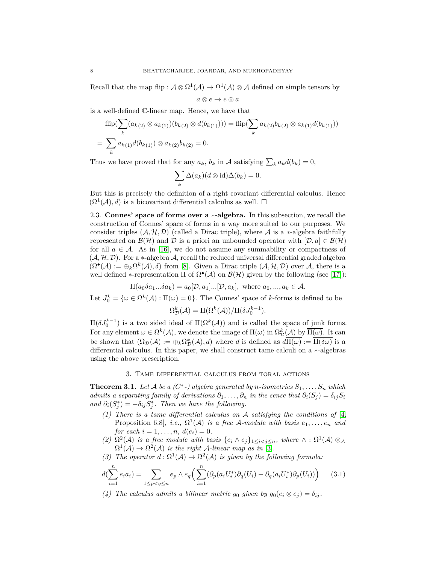Recall that the map flip :  $A \otimes \Omega^1(A) \to \Omega^1(A) \otimes A$  defined on simple tensors by

$$
a\otimes e\to e\otimes a
$$

is a well-defined C-linear map. Hence, we have that

$$
\begin{aligned} &\text{flip}(\sum_{k}(a_{k(2)} \otimes a_{k(1)})(b_{k(2)} \otimes d(b_{k(1)}))) = \text{flip}(\sum_{k} a_{k(2)} b_{k(2)} \otimes a_{k(1)} d(b_{k(1)})) \\ &= \sum_{k} a_{k(1)} d(b_{k(1)}) \otimes a_{k(2)} b_{k(2)} = 0. \end{aligned}
$$

Thus we have proved that for any  $a_k$ ,  $b_k$  in A satisfying  $\sum_k a_k d(b_k) = 0$ ,

$$
\sum_{k} \Delta(a_k) (d \otimes id) \Delta(b_k) = 0.
$$

But this is precisely the definition of a right covariant differential calculus. Hence  $(\Omega^1(\mathcal{A}), d)$  is a bicovariant differential calculus as well.  $\square$ 

<span id="page-7-1"></span>2.3. **Connes' space of forms over a** ∗**-algebra.** In this subsection, we recall the construction of Connes' space of forms in a way more suited to our purposes. We consider triples  $(A, \mathcal{H}, \mathcal{D})$  (called a Dirac triple), where  $A$  is a  $\ast$ -algebra faithfully represented on  $\mathcal{B}(\mathcal{H})$  and D is a priori an unbounded operator with  $[\mathcal{D}, a] \in \mathcal{B}(\mathcal{H})$ for all  $a \in \mathcal{A}$ . As in [\[16\]](#page-19-15), we do not assume any summability or compactness of  $(A, H, D)$ . For a \*-algebra A, recall the reduced universal differential graded algebra  $(\Omega^{\bullet}(A) := \bigoplus_k \Omega^k(A), \delta)$  from [\[8\]](#page-19-16). Given a Dirac triple  $(A, \mathcal{H}, \mathcal{D})$  over A, there is a well defined \*-representation  $\Pi$  of  $\Omega^{\bullet}(\mathcal{A})$  on  $\mathcal{B}(\mathcal{H})$  given by the following (see [\[17\]](#page-19-17)):

 $\Pi(a_0\delta a_1...\delta a_k) = a_0[\mathcal{D}, a_1]...\mathcal{D}, a_k],$  where  $a_0, ..., a_k \in \mathcal{A}$ .

Let  $J_0^k = {\omega \in \Omega^k(\mathcal{A}) : \Pi(\omega) = 0}.$  The Connes' space of *k*-forms is defined to be  $\Omega_{\mathcal{D}}^{k}(\mathcal{A}) = \Pi(\Omega^{k}(\mathcal{A})) / \Pi(\delta J_{0}^{k-1}).$ 

 $\Pi(\delta J_0^{k-1})$  is a two sided ideal of  $\Pi(\Omega^k(\mathcal{A}))$  and is called the space of junk forms. For any element  $\omega \in \Omega^k(\mathcal{A})$ , we denote the image of  $\Pi(\omega)$  in  $\Omega^k_{\mathcal{D}}(\mathcal{A})$  by  $\overline{\Pi(\omega)}$ . It can be shown that  $(\Omega_{\mathcal{D}}(\mathcal{A}) := \bigoplus_k \Omega_{\mathcal{D}}^k(\mathcal{A}), d)$  where *d* is defined as  $d\overline{\Pi(\omega)} := \overline{\Pi(\delta\omega)}$  is a differential calculus. In this paper, we shall construct tame calculi on a ∗-algebras using the above prescription.

## 3. Tame differential calculus from toral actions

<span id="page-7-0"></span>**Theorem 3.1.** Let A be a  $(C^*)$  algebra generated by *n*-isometries  $S_1, \ldots, S_n$  which *admits a separating family of derivations*  $\partial_1, \ldots, \partial_n$  *in the sense that*  $\partial_i(S_i) = \delta_{ij} S_i$ *and*  $\partial_i(S_j^*) = -\delta_{ij}S_j^*$ . Then we have the following.

- *(1) There is a tame differential calculus on* A *satisfying the conditions of* [\[4,](#page-19-9) Proposition 6.8], *i.e.*,  $\Omega^1(\mathcal{A})$  *is a free*  $\mathcal{A}\text{-module with basis } e_1, \ldots, e_n$  and *for each*  $i = 1, ..., n$ ,  $d(e_i) = 0$ .
- (2)  $\Omega^2(\mathcal{A})$  *is a free module with basis*  $\{e_i \wedge e_j\}_{1 \leq i < j \leq n}$ *, where*  $\wedge : \Omega^1(\mathcal{A}) \otimes_{\mathcal{A}}$  $\Omega^1(\mathcal{A}) \to \Omega^2(\mathcal{A})$  is the right  $\mathcal{A}$ -linear map as in [\[3\]](#page-19-8).
- *(3)* The operator  $d : \Omega^1(\mathcal{A}) \to \Omega^2(\mathcal{A})$  is given by the following formula:

<span id="page-7-2"></span>
$$
d(\sum_{i=1}^{n} e_i a_i) = \sum_{1 \le p < q \le n} e_p \wedge e_q \left( \sum_{i=1}^{n} (\partial_p(a_i U_i^*) \partial_q(U_i) - \partial_q(a_i U_i^*) \partial_p(U_i)) \right) \tag{3.1}
$$

*(4)* The calculus admits a bilinear metric  $g_0$  given by  $g_0(e_i \otimes e_j) = \delta_{ij}$ .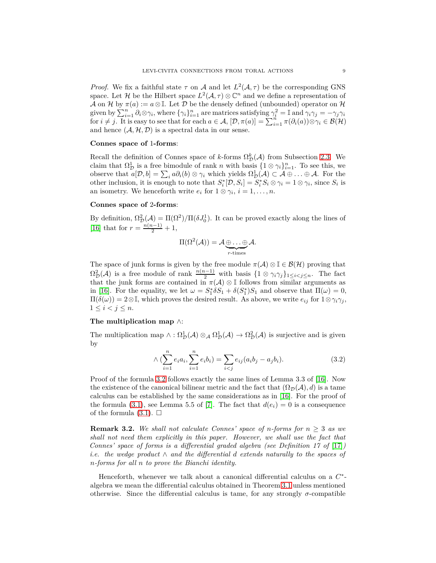*Proof.* We fix a faithful state  $\tau$  on A and let  $L^2(\mathcal{A}, \tau)$  be the corresponding GNS space. Let H be the Hilbert space  $L^2(\mathcal{A}, \tau) \otimes \mathbb{C}^n$  and we define a representation of  $\mathcal A$  on  $\mathcal H$  by  $\pi(a) := a \otimes \mathbb{I}$ . Let  $\mathcal D$  be the densely defined (unbounded) operator on  $\mathcal H$ given by  $\sum_{i=1}^{n} \hat{\partial}_i \otimes \gamma_i$ , where  $\{\gamma_i\}_{i=1}^{n}$  are matrices satisfying  $\gamma_i^2 = \mathbb{I}$  and  $\gamma_i \gamma_j = -\gamma_j \gamma_i$ for  $i \neq j$ . It is easy to see that for each  $a \in \mathcal{A}$ ,  $[\mathcal{D}, \pi(a)] = \sum_{i=1}^{n} \pi(\partial_i(a)) \otimes \gamma_i \in \mathcal{B}(\mathcal{H})$ and hence  $(A, \mathcal{H}, \mathcal{D})$  is a spectral data in our sense.

#### **Connes space of** 1**-forms**:

Recall the definition of Connes space of *k*-forms  $\Omega_{\mathcal{D}}^k(\mathcal{A})$  from Subsection [2.3.](#page-7-1) We claim that  $\Omega_{\mathcal{D}}^1$  is a free bimodule of rank *n* with basis  $\{1 \otimes \gamma_i\}_{i=1}^n$ . To see this, we observe that  $a[D, b] = \sum_i a \partial_i(b) \otimes \gamma_i$  which yields  $\Omega_D^1(\mathcal{A}) \subset \mathcal{A} \oplus \ldots \oplus \mathcal{A}$ . For the other inclusion, it is enough to note that  $S_i^*[\mathcal{D}, S_i] = S_i^* S_i \otimes \gamma_i = 1 \otimes \gamma_i$ , since  $S_i$  is an isometry. We henceforth write  $e_i$  for  $1 \otimes \gamma_i$ ,  $i = 1, \ldots, n$ .

### **Connes space of** 2**-forms**:

By definition,  $\Omega_{\mathcal{D}}^2(\mathcal{A}) = \Pi(\Omega^2)/\Pi(\delta J_0^1)$ . It can be proved exactly along the lines of [\[16\]](#page-19-15) that for  $r = \frac{n(n-1)}{2} + 1$ ,

$$
\Pi(\Omega^2(\mathcal{A})) = \mathcal{A} \underbrace{\oplus \ldots \oplus}_{r \text{-times}} \mathcal{A}.
$$

The space of junk forms is given by the free module  $\pi(\mathcal{A}) \otimes \mathbb{I} \in \mathcal{B}(\mathcal{H})$  proving that  $\Omega_{\mathcal{D}}^2(\mathcal{A})$  is a free module of rank  $\frac{n(n-1)}{2}$  with basis  $\{1 \otimes \gamma_i \gamma_j\}_{1 \leq i < j \leq n}$ . The fact that the junk forms are contained in  $\pi(\mathcal{A}) \otimes \mathbb{I}$  follows from similar arguments as in [\[16\]](#page-19-15). For the equality, we let  $\omega = S_1^* \delta S_1 + \delta(S_1^*) S_1$  and observe that  $\Pi(\omega) = 0$ ,  $\Pi(\delta(\omega)) = 2 \otimes \mathbb{I}$ , which proves the desired result. As above, we write  $e_{ij}$  for  $1 \otimes \gamma_i \gamma_j$ ,  $1 \leq i < j \leq n$ .

## **The multiplication map** ∧:

The multiplication map  $\wedge : \Omega^1_D(\mathcal{A}) \otimes_{\mathcal{A}} \Omega^1_D(\mathcal{A}) \to \Omega^2_D(\mathcal{A})$  is surjective and is given by

<span id="page-8-0"></span>
$$
\wedge \left( \sum_{i=1}^{n} e_i a_i, \sum_{i=1}^{n} e_i b_i \right) = \sum_{i < j} e_{ij} (a_i b_j - a_j b_i). \tag{3.2}
$$

Proof of the formula [3.2](#page-8-0) follows exactly the same lines of Lemma 3.3 of [\[16\]](#page-19-15). Now the existence of the canonical bilinear metric and the fact that  $(\Omega_{\mathcal{D}}(\mathcal{A}), d)$  is a tame calculus can be established by the same considerations as in [\[16\]](#page-19-15). For the proof of the formula [\(3.1\)](#page-7-2), see Lemma 5.5 of [\[7\]](#page-19-18). The fact that  $d(e_i) = 0$  is a consequence of the formula  $(3.1)$ .  $\square$ 

<span id="page-8-1"></span>**Remark 3.2.** We shall not calculate Connes' space of *n*-forms for  $n \geq 3$  as we *shall not need them explicitly in this paper. However, we shall use the fact that Connes' space of forms is a differential graded algebra (see Definition 17 of* [\[17\]](#page-19-17)*) i.e. the wedge product* ∧ *and the differential d extends naturally to the spaces of n-forms for all n to prove the Bianchi identity.*

Henceforth, whenever we talk about a canonical differential calculus on a  $C^*$ algebra we mean the differential calculus obtained in Theorem [3.1](#page-7-0) unless mentioned otherwise. Since the differential calculus is tame, for any strongly  $\sigma$ -compatible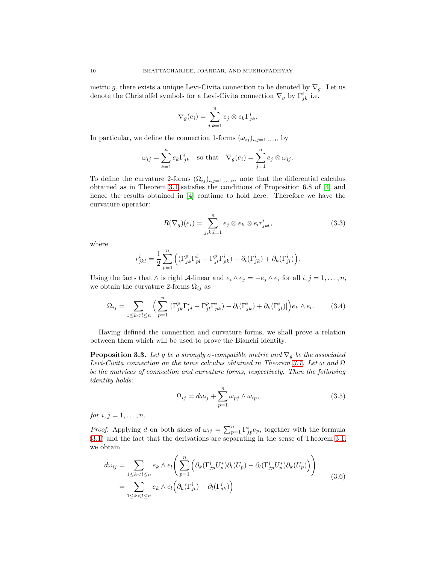metric *g*, there exists a unique Levi-Civita connection to be denoted by  $\nabla_q$ . Let us denote the Christoffel symbols for a Levi-Civita connection  $\nabla_g$  by  $\Gamma^i_{jk}$  i.e.

$$
\nabla_g(e_i) = \sum_{j,k=1}^n e_j \otimes e_k \Gamma^i_{jk}.
$$

In particular, we define the connection 1-forms  $(\omega_{ij})_{i,j=1,\dots,n}$  by

$$
\omega_{ij} = \sum_{k=1}^n e_k \Gamma_{jk}^i \quad \text{so that} \quad \nabla_g(e_i) = \sum_{j=1}^n e_j \otimes \omega_{ij}.
$$

To define the curvature 2-forms  $(\Omega_{ij})_{i,j=1,\dots,n}$ , note that the differential calculus obtained as in Theorem [3.1](#page-7-0) satisfies the conditions of Proposition 6.8 of [\[4\]](#page-19-9) and hence the results obtained in [\[4\]](#page-19-9) continue to hold here. Therefore we have the curvature operator:

$$
R(\nabla_g)(e_i) = \sum_{j,k,l=1}^n e_j \otimes e_k \otimes e_l r_{jkl}^i, \qquad (3.3)
$$

where

$$
r_{jkl}^i = \frac{1}{2} \sum_{p=1}^n \left( (\Gamma_{jk}^p \Gamma_{pl}^i - \Gamma_{jl}^p \Gamma_{pk}^i) - \partial_l(\Gamma_{jk}^i) + \partial_k(\Gamma_{jl}^i) \right).
$$

Using the facts that  $\wedge$  is right A-linear and  $e_i \wedge e_j = -e_j \wedge e_i$  for all  $i, j = 1, \ldots, n$ , we obtain the curvature 2-forms  $\Omega_{ij}$  as

<span id="page-9-2"></span>
$$
\Omega_{ij} = \sum_{1 \le k < l \le n} \left( \sum_{p=1}^n \left[ \left( \Gamma_{jk}^p \Gamma_{pl}^i - \Gamma_{jl}^p \Gamma_{pk}^i \right) - \partial_l(\Gamma_{jk}^i) + \partial_k(\Gamma_{jl}^i) \right] \right) e_k \wedge e_l. \tag{3.4}
$$

Having defined the connection and curvature forms, we shall prove a relation between them which will be used to prove the Bianchi identity.

**Proposition 3.3.** Let g be a strongly  $\sigma$ -compatible metric and  $\nabla_g$  be the associated *Levi-Civita connection on the tame calculus obtained in Theorem [3.1.](#page-7-0) Let ω and* Ω *be the matrices of connection and curvature forms, respectively. Then the following identity holds:*

<span id="page-9-1"></span>
$$
\Omega_{ij} = d\omega_{ij} + \sum_{p=1}^{n} \omega_{pj} \wedge \omega_{ip},\tag{3.5}
$$

*for*  $i, j = 1, \ldots, n$ *.* 

*Proof.* Applying *d* on both sides of  $\omega_{ij} = \sum_{p=1}^{n} \Gamma_{jp}^{i} e_p$ , together with the formula [\(3.1\)](#page-7-2) and the fact that the derivations are separating in the sense of Theorem [3.1,](#page-7-0) we obtain

<span id="page-9-0"></span>
$$
d\omega_{ij} = \sum_{1 \le k < l \le n} e_k \wedge e_l \left( \sum_{p=1}^n \left( \partial_k (\Gamma^i_{jp} U^*_p) \partial_l (U_p) - \partial_l (\Gamma^i_{jp} U^*_p) \partial_k (U_p) \right) \right)
$$
\n
$$
= \sum_{1 \le k < l \le n} e_k \wedge e_l \left( \partial_k (\Gamma^i_{jl}) - \partial_l (\Gamma^i_{jk}) \right) \tag{3.6}
$$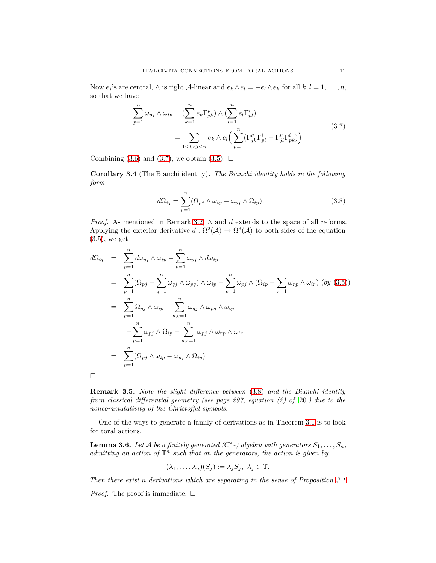Now  $e_i$ 's are central,  $\wedge$  is right  $\mathcal{A}$ -linear and  $e_k \wedge e_l = -e_l \wedge e_k$  for all  $k, l = 1, \ldots, n$ , so that we have

<span id="page-10-1"></span>
$$
\sum_{p=1}^{n} \omega_{pj} \wedge \omega_{ip} = \left(\sum_{k=1}^{n} e_k \Gamma_{jk}^p\right) \wedge \left(\sum_{l=1}^{n} e_l \Gamma_{pl}^i\right)
$$
\n
$$
= \sum_{1 \le k < l \le n} e_k \wedge e_l \left(\sum_{p=1}^{n} \left(\Gamma_{jk}^p \Gamma_{pl}^i - \Gamma_{jl}^p \Gamma_{pk}^i\right)\right) \tag{3.7}
$$

Combining [\(3.6\)](#page-9-0) and [\(3.7\)](#page-10-1), we obtain [\(3.5\)](#page-9-1).  $\Box$ 

**Corollary 3.4** (The Bianchi identity)**.** *The Bianchi identity holds in the following form*

<span id="page-10-0"></span>
$$
d\Omega_{ij} = \sum_{p=1}^{n} (\Omega_{pj} \wedge \omega_{ip} - \omega_{pj} \wedge \Omega_{ip}).
$$
\n(3.8)

*Proof.* As mentioned in Remark [3.2,](#page-8-1) ∧ and *d* extends to the space of all *n*-forms. Applying the exterior derivative  $d : \Omega^2(\mathcal{A}) \to \Omega^3(\mathcal{A})$  to both sides of the equation [\(3.5\)](#page-9-1), we get

$$
d\Omega_{ij} = \sum_{p=1}^{n} d\omega_{pj} \wedge \omega_{ip} - \sum_{p=1}^{n} \omega_{pj} \wedge d\omega_{ip}
$$
  
\n
$$
= \sum_{p=1}^{n} (\Omega_{pj} - \sum_{q=1}^{n} \omega_{qj} \wedge \omega_{pq}) \wedge \omega_{ip} - \sum_{p=1}^{n} \omega_{pj} \wedge (\Omega_{ip} - \sum_{r=1} \omega_{rp} \wedge \omega_{ir}) (by (3.5))
$$
  
\n
$$
= \sum_{p=1}^{n} \Omega_{pj} \wedge \omega_{ip} - \sum_{p,q=1}^{n} \omega_{qj} \wedge \omega_{pq} \wedge \omega_{ip}
$$
  
\n
$$
- \sum_{p=1}^{n} \omega_{pj} \wedge \Omega_{ip} + \sum_{p,r=1}^{n} \omega_{pj} \wedge \omega_{rp} \wedge \omega_{ir}
$$
  
\n
$$
= \sum_{p=1}^{n} (\Omega_{pj} \wedge \omega_{ip} - \omega_{pj} \wedge \Omega_{ip})
$$

 $\Box$ 

**Remark 3.5.** *Note the slight difference between* [\(3.8\)](#page-10-0) *and the Bianchi identity from classical differential geometry (see page 297, equation (2) of* [\[20\]](#page-19-19)*) due to the noncommutativity of the Christoffel symbols.*

One of the ways to generate a family of derivations as in Theorem [3.1](#page-7-0) is to look for toral actions.

<span id="page-10-2"></span>**Lemma 3.6.** *Let*  $A$  *be a finitely generated (C*<sup>\*</sup>-) algebra with generators  $S_1, \ldots, S_n$ , admitting an action of  $\mathbb{T}^n$  such that on the generators, the action is given by

$$
(\lambda_1, \ldots, \lambda_n)(S_j) := \lambda_j S_j, \ \lambda_j \in \mathbb{T}.
$$

*Then there exist n derivations which are separating in the sense of Proposition [3.1](#page-7-0)*

*Proof.* The proof is immediate.  $\square$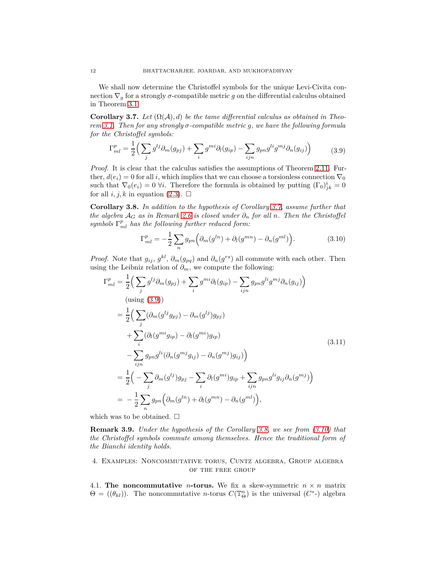We shall now determine the Christoffel symbols for the unique Levi-Civita connection  $\nabla_g$  for a strongly  $\sigma$ -compatible metric  $g$  on the differential calculus obtained in Theorem [3.1.](#page-7-0)

<span id="page-11-0"></span>**Corollary 3.7.** *Let*  $(\Omega(\mathcal{A}), d)$  *be the tame differential calculus as obtained in Theorem [3.1.](#page-7-0) Then for any strongly σ-compatible metric g, we have the following formula for the Christoffel symbols:*

<span id="page-11-1"></span>
$$
\Gamma_{ml}^p = \frac{1}{2} \left( \sum_j g^{lj} \partial_m (g_{pj}) + \sum_i g^{mi} \partial_l (g_{ip}) - \sum_{ijn} g_{pn} g^{li} g^{mj} \partial_n (g_{ij}) \right) \tag{3.9}
$$

*Proof.* It is clear that the calculus satisfies the assumptions of Theorem [2.11.](#page-3-0) Further,  $d(e_i) = 0$  for all *i*, which implies that we can choose a torsionless connection  $\nabla_0$ such that  $\nabla_0(e_i) = 0$   $\forall i$ . Therefore the formula is obtained by putting  $(\Gamma_0)^i_{jk} = 0$ for all  $i, j, k$  in equation [\(2.3\)](#page-4-7).  $\Box$ 

<span id="page-11-2"></span>**Corollary 3.8.** *In addition to the hypothesis of Corollary [3.7,](#page-11-0) assume further that the algebra*  $A_G$  *as in Remark [2.6](#page-3-1) is closed under*  $\partial_n$  *for all n. Then the Christoffel symbols* Γ *p ml has the following further reduced form:*

<span id="page-11-3"></span>
$$
\Gamma_{ml}^p = -\frac{1}{2} \sum_n g_{pn} \left( \partial_m(g^{ln}) + \partial_l(g^{mn}) - \partial_n(g^{ml}) \right). \tag{3.10}
$$

*Proof.* Note that  $g_{ij}$ ,  $g^{kl}$ ,  $\partial_m(g_{pq})$  and  $\partial_n(g^{rs})$  all commute with each other. Then using the Leibniz relation of  $\partial_m$ , we compute the following:

$$
\Gamma_{ml}^{p} = \frac{1}{2} \Big( \sum_{j} g^{lj} \partial_{m} (g_{pj}) + \sum_{i} g^{mi} \partial_{l} (g_{ip}) - \sum_{ijn} g_{pn} g^{li} g^{mj} \partial_{n} (g_{ij}) \Big)
$$
  
\n
$$
= \frac{1}{2} \Big( \sum_{j} (\partial_{m} (g^{lj} g_{pj}) - \partial_{m} (g^{lj}) g_{pj})
$$
  
\n
$$
+ \sum_{i} (\partial_{l} (g^{mi} g_{ip}) - \partial_{l} (g^{mi}) g_{ip})
$$
  
\n
$$
- \sum_{ijn} g_{pn} g^{li} (\partial_{n} (g^{mj} g_{ij}) - \partial_{n} (g^{mj}) g_{ij}) \Big)
$$
  
\n
$$
= \frac{1}{2} \Big( - \sum_{j} \partial_{m} (g^{lj}) g_{pj} - \sum_{i} \partial_{l} (g^{mi}) g_{ip} + \sum_{ijn} g_{pn} g^{li} g_{ij} \partial_{n} (g^{mj}) \Big)
$$
  
\n
$$
= -\frac{1}{2} \sum_{n} g_{pn} \Big( \partial_{m} (g^{ln}) + \partial_{l} (g^{mn}) - \partial_{n} (g^{ml}) \Big),
$$
  
\n(3.11)

which was to be obtained.  $\square$ 

**Remark 3.9.** *Under the hypothesis of the Corollary [3.8,](#page-11-2) we see from [\(3.10\)](#page-11-3) that the Christoffel symbols commute among themselves. Hence the traditional form of the Bianchi identity holds.*

# 4. Examples: Noncommutative torus, Cuntz algebra, Group algebra of the free group

4.1. **The noncommutative** *n***-torus.** We fix a skew-symmetric  $n \times n$  matrix  $\Theta = ((\theta_{kl})$ ). The noncommutative *n*-torus  $C(\mathbb{T}_{\Theta}^n)$  is the universal  $(C^*$ -) algebra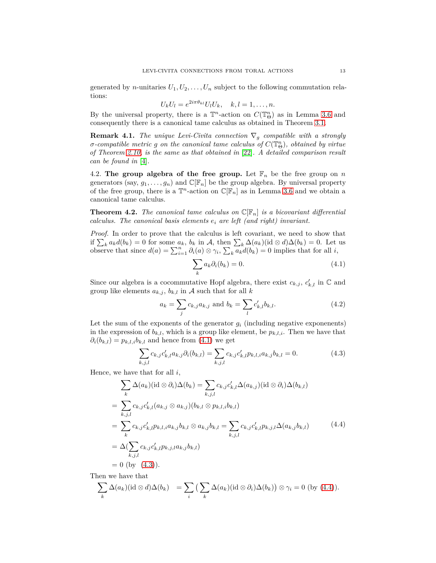generated by *n*-unitaries  $U_1, U_2, \ldots, U_n$  subject to the following commutation relations:

$$
U_k U_l = e^{2i\pi \theta_{kl}} U_l U_k, \quad k, l = 1, \dots, n.
$$

By the universal property, there is a  $\mathbb{T}^n$ -action on  $C(\mathbb{T}^n_{\Theta})$  as in Lemma [3.6](#page-10-2) and consequently there is a canonical tame calculus as obtained in Theorem [3.1.](#page-7-0)

**Remark 4.1.** *The unique Levi-Civita connection*  $\nabla_q$  *compatible with a strongly*  $\sigma$ *-compatible metric g on the canonical tame calculus of*  $C(\mathbb{T}_{\Theta}^n)$ *, obtained by virtue of Theorem [2.10,](#page-3-2) is the same as that obtained in* [\[22\]](#page-19-6)*. A detailed comparison result can be found in* [\[4\]](#page-19-9)*.*

4.2. **The group algebra of the free group.** Let  $\mathbb{F}_n$  be the free group on *n* generators (say,  $g_1, \ldots, g_n$ ) and  $\mathbb{C}[\mathbb{F}_n]$  be the group algebra. By universal property of the free group, there is a  $\mathbb{T}^n$ -action on  $\mathbb{C}[\mathbb{F}_n]$  as in Lemma [3.6](#page-10-2) and we obtain a canonical tame calculus.

**Theorem 4.2.** The canonical tame calculus on  $\mathbb{C}[\mathbb{F}_n]$  is a bicovariant differential *calculus. The canonical basis elements e<sup>i</sup> are left (and right) invariant.*

*Proof.* In order to prove that the calculus is left covariant, we need to show that if  $\sum_{k} a_{k} d(b_{k}) = 0$  for some  $a_{k}$ ,  $b_{k}$  in A, then  $\sum_{k} \Delta(a_{k})$ (id ⊗ *d*) $\Delta(b_{k}) = 0$ . Let us observe that since  $d(a) = \sum_{i=1}^{n} \partial_i(a) \otimes \gamma_i$ ,  $\sum_{k} a_k d(b_k) = 0$  implies that for all *i*,

<span id="page-12-0"></span>
$$
\sum_{k} a_{k} \partial_{i} (b_{k}) = 0. \qquad (4.1)
$$

Since our algebra is a cocommutative Hopf algebra, there exist  $c_{k,j}$ ,  $c'_{k,l}$  in  $\mathbb C$  and group like elements  $a_{k,j}$ ,  $b_{k,l}$  in A such that for all k

$$
a_k = \sum_j c_{k,j} a_{k,j} \text{ and } b_k = \sum_l c'_{k,l} b_{k,l}. \tag{4.2}
$$

Let the sum of the exponents of the generator  $g_i$  (including negative exponenents) in the expression of  $b_{k,l}$ , which is a group like element, be  $p_{k,l,i}$ . Then we have that  $\partial_i(b_{k,l}) = p_{k,l,i}b_{k,l}$  and hence from [\(4.1\)](#page-12-0) we get

<span id="page-12-1"></span>
$$
\sum_{k,j,l} c_{k,j} c'_{k,l} a_{k,j} \partial_i(b_{k,l}) = \sum_{k,j,l} c_{k,j} c'_{k,l} p_{k,l,i} a_{k,j} b_{k,l} = 0.
$$
\n(4.3)

Hence, we have that for all *i*,

<span id="page-12-2"></span>
$$
\sum_{k} \Delta(a_{k})(\mathrm{id} \otimes \partial_{i})\Delta(b_{k}) = \sum_{k,j,l} c_{k,j} c'_{k,l} \Delta(a_{k,j})(\mathrm{id} \otimes \partial_{i})\Delta(b_{k,l})
$$
\n
$$
= \sum_{k,j,l} c_{k,j} c'_{k,l} (a_{k,j} \otimes a_{k,j})(b_{k,l} \otimes p_{k,l,i}b_{k,l})
$$
\n
$$
= \sum_{k} c_{k,j} c'_{k,l} p_{k,l,i} a_{k,j} b_{k,l} \otimes a_{k,j} b_{k,l} = \sum_{k,j,l} c_{k,j} c'_{k,l} p_{k,j,l} \Delta(a_{k,j} b_{k,l})
$$
\n
$$
= \Delta(\sum_{k,j,l} c_{k,j} c'_{k,l} p_{k,j,l} a_{k,j} b_{k,l})
$$
\n
$$
= 0 \text{ (by (4.3))}.
$$
\n(4.3)

Then we have that

$$
\sum_{k} \Delta(a_k)(\mathrm{id} \otimes d) \Delta(b_k) = \sum_{i} \left( \sum_{k} \Delta(a_k)(\mathrm{id} \otimes \partial_i) \Delta(b_k) \right) \otimes \gamma_i = 0 \text{ (by (4.4))}.
$$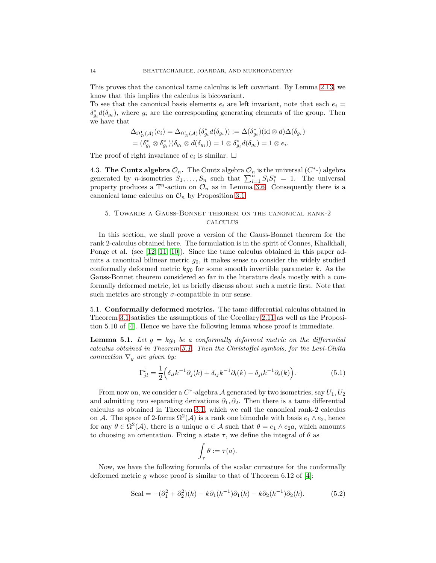This proves that the canonical tame calculus is left covariant. By Lemma [2.13,](#page-6-0) we know that this implies the calculus is bicovariant.

To see that the canonical basis elements  $e_i$  are left invariant, note that each  $e_i$  =  $\delta_{g_i}^* d(\delta_{g_i})$ , where  $g_i$  are the corresponding generating elements of the group. Then we have that

$$
\Delta_{\Omega^1_{\mathcal{D}}(\mathcal{A})}(e_i) = \Delta_{\Omega^1_{\mathcal{D}}(\mathcal{A})}(\delta_{g_i}^* d(\delta_{g_i})) := \Delta(\delta_{g_i}^*) (id \otimes d) \Delta(\delta_{g_i})
$$
  
= 
$$
(\delta_{g_i}^* \otimes \delta_{g_i}^*) (\delta_{g_i} \otimes d(\delta_{g_i})) = 1 \otimes \delta_{g_i}^* d(\delta_{g_i}) = 1 \otimes e_i.
$$

The proof of right invariance of  $e_i$  is similar.  $\Box$ 

4.3. **The Cuntz algebra**  $\mathcal{O}_n$ . The Cuntz algebra  $\mathcal{O}_n$  is the universal  $(C^*)$  algebra generated by *n*-isometries  $S_1, \ldots, S_n$  such that  $\sum_{i=1}^n S_i S_i^* = 1$ . The universal property produces a  $\mathbb{T}^n$ -action on  $\mathcal{O}_n$  as in Lemma [3.6.](#page-10-2) Consequently there is a canonical tame calculus on  $\mathcal{O}_n$  by Proposition [3.1.](#page-7-0)

# 5. Towards a Gauss-Bonnet theorem on the canonical rank-2 calculus

In this section, we shall prove a version of the Gauss-Bonnet theorem for the rank 2-calculus obtained here. The formulation is in the spirit of Connes, Khalkhali, Ponge et al. (see [\[12,](#page-19-12) [11,](#page-19-13) [10\]](#page-19-10)). Since the tame calculus obtained in this paper admits a canonical bilinear metric  $g_0$ , it makes sense to consider the widely studied conformally deformed metric  $kg_0$  for some smooth invertible parameter  $k$ . As the Gauss-Bonnet theorem considered so far in the literature deals mostly with a conformally deformed metric, let us briefly discuss about such a metric first. Note that such metrics are strongly  $\sigma$ -compatible in our sense.

5.1. **Conformally deformed metrics.** The tame differential calculus obtained in Theorem [3.1](#page-7-0) satisfies the assumptions of the Corollary [2.11](#page-3-0) as well as the Proposition 5.10 of [\[4\]](#page-19-9). Hence we have the following lemma whose proof is immediate.

**Lemma 5.1.** Let  $g = kg_0$  be a conformally deformed metric on the differential *calculus obtained in Theorem [3.1.](#page-7-0) Then the Christoffel symbols, for the Levi-Civita connection*  $\nabla_q$  *are given by:* 

<span id="page-13-0"></span>
$$
\Gamma_{jl}^{i} = \frac{1}{2} \Big( \delta_{il} k^{-1} \partial_j(k) + \delta_{ij} k^{-1} \partial_l(k) - \delta_{jl} k^{-1} \partial_i(k) \Big). \tag{5.1}
$$

From now on, we consider a  $C^*$ -algebra  $\mathcal A$  generated by two isometries, say  $U_1, U_2$ and admitting two separating derivations  $\partial_1, \partial_2$ . Then there is a tame differential calculus as obtained in Theorem [3.1,](#page-7-0) which we call the canonical rank-2 calculus on A. The space of 2-forms  $\Omega^2(\mathcal{A})$  is a rank one bimodule with basis  $e_1 \wedge e_2$ , hence for any  $\theta \in \Omega^2(\mathcal{A})$ , there is a unique  $a \in \mathcal{A}$  such that  $\theta = e_1 \wedge e_2 a$ , which amounts to choosing an orientation. Fixing a state  $\tau$ , we define the integral of  $\theta$  as

$$
\int_{\tau} \theta := \tau(a).
$$

Now, we have the following formula of the scalar curvature for the conformally deformed metric *g* whose proof is similar to that of Theorem 6.12 of [\[4\]](#page-19-9):

Scal = 
$$
-(\partial_1^2 + \partial_2^2)(k) - k\partial_1(k^{-1})\partial_1(k) - k\partial_2(k^{-1})\partial_2(k)
$$
. (5.2)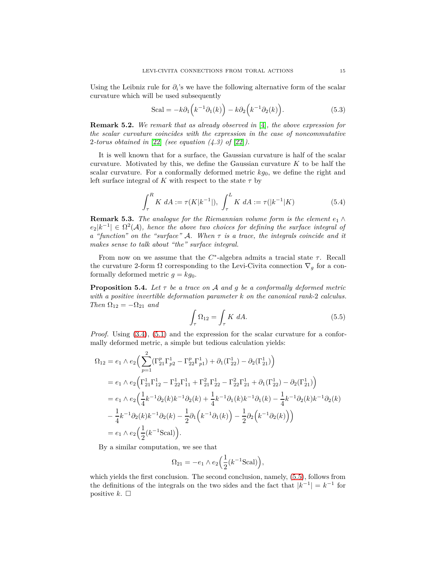Using the Leibniz rule for  $\partial_i$ 's we have the following alternative form of the scalar curvature which will be used subsequently

<span id="page-14-1"></span>
$$
Scal = -k\partial_1 \left( k^{-1}\partial_1(k) \right) - k\partial_2 \left( k^{-1}\partial_2(k) \right). \tag{5.3}
$$

**Remark 5.2.** *We remark that as already observed in* [\[4\]](#page-19-9)*, the above expression for the scalar curvature coincides with the expression in the case of noncommutative* 2*-torus obtained in* [\[22\]](#page-19-6) *(see equation (4.3) of* [\[22\]](#page-19-6)*).*

It is well known that for a surface, the Gaussian curvature is half of the scalar curvature. Motivated by this, we define the Gaussian curvature *K* to be half the scalar curvature. For a conformally deformed metric *kg*0, we define the right and left surface integral of  $K$  with respect to the state  $\tau$  by

$$
\int_{\tau}^{R} K \ dA := \tau(K|k^{-1}|), \ \int_{\tau}^{L} K \ dA := \tau(|k^{-1}|K) \tag{5.4}
$$

**Remark 5.3.** *The analogue for the Riemannian volume form is the element*  $e_1 \wedge$  $e_2|k^{-1}| \in \Omega^2(\mathcal{A})$ , hence the above two choices for defining the surface integral of *a "function" on the "surface"* A*. When τ is a trace, the integrals coincide and it makes sense to talk about "the" surface integral.*

From now on we assume that the *C* ∗ -algebra admits a tracial state *τ*. Recall the curvature 2-form  $\Omega$  corresponding to the Levi-Civita connection  $\nabla_q$  for a conformally deformed metric  $g = kg_0$ .

**Proposition 5.4.** *Let τ be a trace on* A *and g be a conformally deformed metric with a positive invertible deformation parameter k on the canonical rank-*2 *calculus. Then*  $\Omega_{12} = -\Omega_{21}$  *and* 

<span id="page-14-0"></span>
$$
\int_{\tau} \Omega_{12} = \int_{\tau} K \ dA. \tag{5.5}
$$

*Proof.* Using  $(3.4)$ ,  $(5.1)$  and the expression for the scalar curvature for a conformally deformed metric, a simple but tedious calculation yields:

$$
\Omega_{12} = e_1 \wedge e_2 \Big( \sum_{p=1}^2 (\Gamma_{21}^p \Gamma_{p2}^1 - \Gamma_{22}^p \Gamma_{p1}^1) + \partial_1 (\Gamma_{22}^1) - \partial_2 (\Gamma_{21}^1) \Big)
$$
  
\n
$$
= e_1 \wedge e_2 \Big( \Gamma_{21}^1 \Gamma_{12}^1 - \Gamma_{22}^1 \Gamma_{11}^1 + \Gamma_{21}^2 \Gamma_{22}^1 - \Gamma_{22}^2 \Gamma_{21}^1 + \partial_1 (\Gamma_{22}^1) - \partial_2 (\Gamma_{21}^1) \Big)
$$
  
\n
$$
= e_1 \wedge e_2 \Big( \frac{1}{4} k^{-1} \partial_2 (k) k^{-1} \partial_2 (k) + \frac{1}{4} k^{-1} \partial_1 (k) k^{-1} \partial_1 (k) - \frac{1}{4} k^{-1} \partial_2 (k) k^{-1} \partial_2 (k)
$$
  
\n
$$
- \frac{1}{4} k^{-1} \partial_2 (k) k^{-1} \partial_2 (k) - \frac{1}{2} \partial_1 (k^{-1} \partial_1 (k) - \frac{1}{2} \partial_2 (k^{-1} \partial_2 (k)) \Big)
$$
  
\n
$$
= e_1 \wedge e_2 \Big( \frac{1}{2} (k^{-1} \text{Scal}) \Big).
$$

By a similar computation, we see that

$$
\Omega_{21} = -e_1 \wedge e_2 \left(\frac{1}{2} (k^{-1} \text{Scal})\right),
$$

which yields the first conclusion. The second conclusion, namely, [\(5.5\)](#page-14-0), follows from the definitions of the integrals on the two sides and the fact that  $|k^{-1}| = k^{-1}$  for positive  $k$ .  $\Box$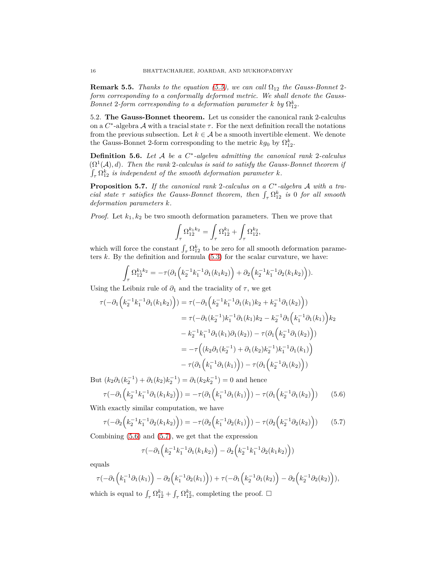**Remark 5.5.** *Thanks to the equation [\(5.5\)](#page-14-0), we can call*  $\Omega_{12}$  *the Gauss-Bonnet* 2*form corresponding to a conformally deformed metric. We shall denote the Gauss-Bonnet* 2*-form corresponding to a deformation parameter*  $k$  *by*  $\Omega_{12}^k$ *.* 

5.2. **The Gauss-Bonnet theorem.** Let us consider the canonical rank 2-calculus on a  $C^*$ -algebra  $\mathcal A$  with a tracial state  $\tau$ . For the next definition recall the notations from the previous subsection. Let  $k \in A$  be a smooth invertible element. We denote the Gauss-Bonnet 2-form corresponding to the metric  $kg_0$  by  $\Omega_{12}^k$ .

**Definition 5.6.** *Let* A *be a C* ∗ *-algebra admitting the canonical rank* 2*-calculus*  $(\Omega^1(\mathcal{A}), d)$ . Then the rank 2-calculus is said to satisfy the Gauss-Bonnet theorem if  $\int_{\tau} \Omega_{12}^k$  *is independent of the smooth deformation parameter k.* 

<span id="page-15-0"></span>**Proposition 5.7.** If the canonical rank 2-calculus on a  $C^*$ -algebra A with a tra*cial state*  $\tau$  *satisfies the Gauss-Bonnet theorem, then*  $\int_{\tau} \Omega_{12}^k$  *is* 0 *for all smooth deformation parameters k.*

*Proof.* Let  $k_1, k_2$  be two smooth deformation parameters. Then we prove that

$$
\int_{\tau} \Omega_{12}^{k_1k_2} = \int_{\tau} \Omega_{12}^{k_1} + \int_{\tau} \Omega_{12}^{k_2},
$$

which will force the constant  $\int_{\tau} \Omega_{12}^k$  to be zero for all smooth deformation parameters  $k$ . By the definition and formula  $(5.3)$  for the scalar curvature, we have:

$$
\int_{\tau} \Omega_{12}^{k_1 k_2} = -\tau (\partial_1 \left( k_2^{-1} k_1^{-1} \partial_1 (k_1 k_2) \right) + \partial_2 \left( k_2^{-1} k_1^{-1} \partial_2 (k_1 k_2) \right)).
$$

Using the Leibniz rule of  $\partial_1$  and the traciality of  $\tau$ , we get

$$
\tau(-\partial_1(k_2^{-1}k_1^{-1}\partial_1(k_1k_2))) = \tau(-\partial_1(k_2^{-1}k_1^{-1}\partial_1(k_1)k_2 + k_2^{-1}\partial_1(k_2)))
$$
  
\n
$$
= \tau(-\partial_1(k_2^{-1})k_1^{-1}\partial_1(k_1)k_2 - k_2^{-1}\partial_1(k_1^{-1}\partial_1(k_1))k_2
$$
  
\n
$$
- k_2^{-1}k_1^{-1}\partial_1(k_1)\partial_1(k_2)) - \tau(\partial_1(k_2^{-1}\partial_1(k_2)))
$$
  
\n
$$
= -\tau((k_2\partial_1(k_2^{-1}) + \partial_1(k_2)k_2^{-1})k_1^{-1}\partial_1(k_1))
$$
  
\n
$$
- \tau(\partial_1(k_1^{-1}\partial_1(k_1))) - \tau(\partial_1(k_2^{-1}\partial_1(k_2)))
$$

But  $(k_2\partial_1(k_2^{-1}) + \partial_1(k_2)k_2^{-1}) = \partial_1(k_2k_2^{-1}) = 0$  and hence

<span id="page-15-1"></span>
$$
\tau(-\partial_1\left(k_2^{-1}k_1^{-1}\partial_1(k_1k_2)\right)) = -\tau(\partial_1\left(k_1^{-1}\partial_1(k_1)\right)) - \tau(\partial_1\left(k_2^{-1}\partial_1(k_2)\right)) \tag{5.6}
$$

With exactly similar computation, we have

<span id="page-15-2"></span>
$$
\tau(-\partial_2\left(k_2^{-1}k_1^{-1}\partial_2(k_1k_2)\right)) = -\tau(\partial_2\left(k_1^{-1}\partial_2(k_1)\right)) - \tau(\partial_2\left(k_2^{-1}\partial_2(k_2)\right)) \tag{5.7}
$$

Combining [\(5.6\)](#page-15-1) and [\(5.7\)](#page-15-2), we get that the expression

$$
\tau(-\partial_1\left(k_2^{-1}k_1^{-1}\partial_1(k_1k_2)\right) - \partial_2\left(k_2^{-1}k_1^{-1}\partial_2(k_1k_2)\right))
$$

equals

$$
\tau(-\partial_1\left(k_1^{-1}\partial_1(k_1)\right)-\partial_2\left(k_1^{-1}\partial_2(k_1)\right))+\tau(-\partial_1\left(k_2^{-1}\partial_1(k_2)\right)-\partial_2\left(k_2^{-1}\partial_2(k_2)\right)),
$$

which is equal to  $\int_{\tau} \Omega_{12}^{k_1} + \int_{\tau} \Omega_{12}^{k_2}$ , completing the proof.  $\Box$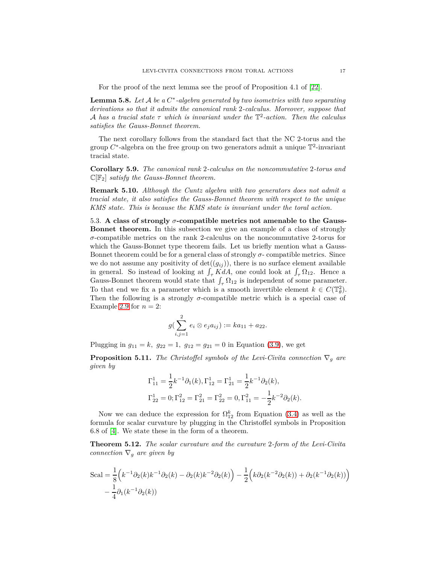For the proof of the next lemma see the proof of Proposition 4.1 of [\[22\]](#page-19-6).

**Lemma 5.8.** *Let* A *be a C* ∗ *-algebra generated by two isometries with two separating derivations so that it admits the canonical rank* 2*-calculus. Moreover, suppose that* A *has a tracial state τ which is invariant under the* T 2 *-action. Then the calculus satisfies the Gauss-Bonnet theorem.*

The next corollary follows from the standard fact that the NC 2-torus and the group  $C^*$ -algebra on the free group on two generators admit a unique  $\mathbb{T}^2$ -invariant tracial state.

<span id="page-16-0"></span>**Corollary 5.9.** *The canonical rank* 2*-calculus on the noncommutative* 2*-torus and* C[F2] *satisfy the Gauss-Bonnet theorem.*

**Remark 5.10.** *Although the Cuntz algebra with two generators does not admit a tracial state, it also satisfies the Gauss-Bonnet theorem with respect to the unique KMS state. This is because the KMS state is invariant under the toral action.*

<span id="page-16-1"></span>5.3. **A class of strongly** *σ***-compatible metrics not amenable to the Gauss-Bonnet theorem.** In this subsection we give an example of a class of strongly *σ*-compatible metrics on the rank 2-calculus on the noncommutative 2-torus for which the Gauss-Bonnet type theorem fails. Let us briefly mention what a Gauss-Bonnet theorem could be for a general class of strongly  $\sigma$ - compatible metrics. Since we do not assume any positivity of  $\det((g_{ij}))$ , there is no surface element available in general. So instead of looking at  $\int_{\tau} K dA$ , one could look at  $\int_{\tau} \Omega_{12}$ . Hence a Gauss-Bonnet theorem would state that  $\int_{\tau} \Omega_{12}$  is independent of some parameter. To that end we fix a parameter which is a smooth invertible element  $k \in C(\mathbb{T}_{\theta}^2)$ . Then the following is a strongly  $\sigma$ -compatible metric which is a special case of Example [2.9](#page-3-3) for  $n = 2$ :

$$
g(\sum_{i,j=1}^{2}e_i\otimes e_ja_{ij}):=ka_{11}+a_{22}.
$$

Plugging in  $g_{11} = k$ ,  $g_{22} = 1$ ,  $g_{12} = g_{21} = 0$  in Equation [\(3.9\)](#page-11-1), we get

**Proposition 5.11.** *The Christoffel symbols of the Levi-Civita connection*  $\nabla_q$  *are given by*

$$
\Gamma_{11}^1 = \frac{1}{2}k^{-1}\partial_1(k), \Gamma_{12}^1 = \Gamma_{21}^1 = \frac{1}{2}k^{-1}\partial_2(k),
$$
  
\n
$$
\Gamma_{22}^1 = 0; \Gamma_{12}^2 = \Gamma_{21}^2 = \Gamma_{22}^2 = 0, \Gamma_{11}^2 = -\frac{1}{2}k^{-2}\partial_2(k).
$$

Now we can deduce the expression for  $\Omega_{12}^k$  from Equation [\(3.4\)](#page-9-2) as well as the formula for scalar curvature by plugging in the Christoffel symbols in Proposition 6.8 of [\[4\]](#page-19-9). We state these in the form of a theorem.

<span id="page-16-2"></span>**Theorem 5.12.** *The scalar curvature and the curvature* 2*-form of the Levi-Civita connection*  $\nabla_g$  *are given by* 

Scal = 
$$
\frac{1}{8}
$$
 $\left(k^{-1}\partial_2(k)k^{-1}\partial_2(k) - \partial_2(k)k^{-2}\partial_2(k)\right) - \frac{1}{2}\left(k\partial_2(k^{-2}\partial_2(k)) + \partial_2(k^{-1}\partial_2(k))\right) - \frac{1}{4}\partial_1(k^{-1}\partial_2(k))$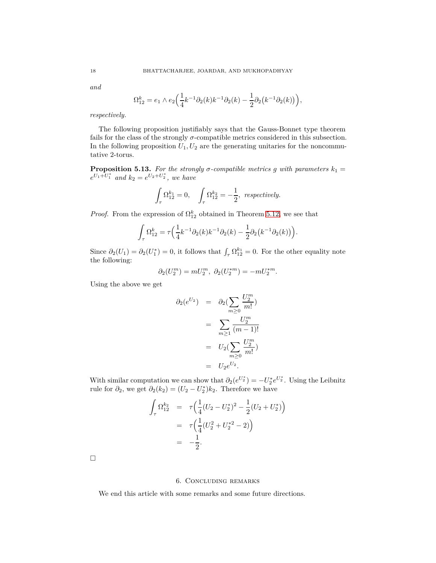*and*

$$
\Omega_{12}^k = e_1 \wedge e_2 \Big( \frac{1}{4} k^{-1} \partial_2(k) k^{-1} \partial_2(k) - \frac{1}{2} \partial_2 \big( k^{-1} \partial_2(k) \big) \Big),
$$

*respectively.*

The following proposition justifiably says that the Gauss-Bonnet type theorem fails for the class of the strongly  $\sigma$ -compatible metrics considered in this subsection. In the following proposition  $U_1, U_2$  are the generating unitaries for the noncommutative 2-torus.

**Proposition 5.13.** For the strongly  $\sigma$ -compatible metrics g with parameters  $k_1 =$  $e^{U_1+U_1^*}$  and  $k_2 = e^{U_2+U_2^*}$ , we have

$$
\int_{\tau} \Omega_{12}^{k_1} = 0, \quad \int_{\tau} \Omega_{12}^{k_2} = -\frac{1}{2}, \text{ respectively.}
$$

*Proof.* From the expression of  $\Omega_{12}^k$  obtained in Theorem [5.12,](#page-16-2) we see that

$$
\int_{\tau} \Omega_{12}^{k} = \tau \Big( \frac{1}{4} k^{-1} \partial_2(k) k^{-1} \partial_2(k) - \frac{1}{2} \partial_2 \big( k^{-1} \partial_2(k) \big) \Big).
$$

Since  $\partial_2(U_1) = \partial_2(U_1^*) = 0$ , it follows that  $\int_{\tau} \Omega_{12}^{k_1} = 0$ . For the other equality note the following:

$$
\partial_2(U_2^m)=mU_2^m, \ \partial_2(U_2^{*m})=-mU_2^{*m}.
$$

Using the above we get

$$
\partial_2(e^{U_2}) = \partial_2(\sum_{m\geq 0} \frac{U_2^m}{m!})
$$
  
= 
$$
\sum_{m\geq 1} \frac{U_2^m}{(m-1)!}
$$
  
= 
$$
U_2(\sum_{m\geq 0} \frac{U_2^m}{m!})
$$
  
= 
$$
U_2 e^{U_2}.
$$

With similar computation we can show that  $\partial_2(e^{U_2^*}) = -U_2^* e^{U_2^*}$ . Using the Leibnitz rule for  $\partial_2$ , we get  $\partial_2(k_2) = (U_2 - U_2^*)k_2$ . Therefore we have

$$
\int_{\tau} \Omega_{12}^{k_2} = \tau \Big( \frac{1}{4} (U_2 - U_2^*)^2 - \frac{1}{2} (U_2 + U_2^*) \Big) \n= \tau \Big( \frac{1}{4} (U_2^2 + U_2^{*2} - 2) \Big) \n= -\frac{1}{2}.
$$

 $\Box$ 

## 6. Concluding remarks

We end this article with some remarks and some future directions.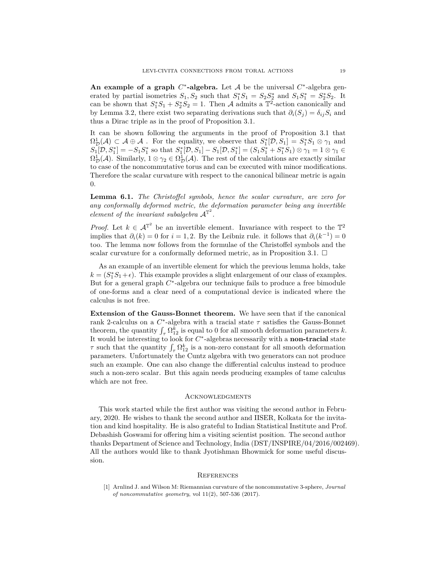An example of a graph  $C^*$ -algebra. Let A be the universal  $C^*$ -algebra generated by partial isometries  $S_1, S_2$  such that  $S_1^* S_1 = S_2 S_2^*$  and  $S_1 S_1^* = S_2^* S_2$ . It can be shown that  $S_1^*S_1 + S_2^*S_2 = 1$ . Then A admits a  $\mathbb{T}^2$ -action canonically and by Lemma 3.2, there exist two separating derivations such that  $\partial_i(S_j) = \delta_{ij}S_i$  and thus a Dirac triple as in the proof of Proposition 3.1.

It can be shown following the arguments in the proof of Proposition 3.1 that  $\Omega^1_{\mathcal{D}}(\mathcal{A}) \subset \mathcal{A} \oplus \mathcal{A}$ . For the equality, we observe that  $S_1^*[\mathcal{D}, S_1] = S_1^* S_1 \otimes \gamma_1$  and  $S_1[D, S_1^*] = -S_1S_1^*$  so that  $S_1^*[D, S_1] - S_1[D, S_1^*] = (S_1S_1^* + S_1^*S_1) \otimes \gamma_1 = 1 \otimes \gamma_1 \in$  $\Omega^1_{\mathcal{D}}(\mathcal{A})$ . Similarly,  $1 \otimes \gamma_2 \in \Omega^1_{\mathcal{D}}(\mathcal{A})$ . The rest of the calculations are exactly similar to case of the noncommutative torus and can be executed with minor modifications. Therefore the scalar curvature with respect to the canonical bilinear metric is again 0.

**Lemma 6.1.** *The Christoffel symbols, hence the scalar curvature, are zero for any conformally deformed metric, the deformation parameter being any invertible element of the invariant subalgebra*  $A^{\mathbb{T}^2}$ *.* 

*Proof.* Let  $k \in \mathcal{A}^{\mathbb{T}^2}$  be an invertible element. Invariance with respect to the  $\mathbb{T}^2$ implies that  $\partial_i(k) = 0$  for  $i = 1, 2$ . By the Leibniz rule. it follows that  $\partial_i(k^{-1}) = 0$ too. The lemma now follows from the formulae of the Christoffel symbols and the scalar curvature for a conformally deformed metric, as in Proposition 3.1.  $\Box$ 

As an example of an invertible element for which the previous lemma holds, take  $k = (S_1^*S_1 + \epsilon)$ . This example provides a slight enlargement of our class of examples. But for a general graph  $C^*$ -algebra our technique fails to produce a free bimodule of one-forms and a clear need of a computational device is indicated where the calculus is not free.

**Extension of the Gauss-Bonnet theorem.** We have seen that if the canonical rank 2-calculus on a  $C^*$ -algebra with a tracial state  $\tau$  satisfies the Gauss-Bonnet theorem, the quantity  $\int_{\tau} \Omega_{12}^k$  is equal to 0 for all smooth deformation parameters *k*. It would be interesting to look for  $C^*$ -algebras necessarily with a **non-tracial** state *τ* such that the quantity  $\int_{\tau} \Omega_{12}^k$  is a non-zero constant for all smooth deformation parameters. Unfortunately the Cuntz algebra with two generators can not produce such an example. One can also change the differential calculus instead to produce such a non-zero scalar. But this again needs producing examples of tame calculus which are not free.

#### **ACKNOWLEDGMENTS**

This work started while the first author was visiting the second author in February, 2020. He wishes to thank the second author and IISER, Kolkata for the invitation and kind hospitality. He is also grateful to Indian Statistical Institute and Prof. Debashish Goswami for offering him a visiting scientist position. The second author thanks Department of Science and Technology, India (DST/INSPIRE/04/2016/002469). All the authors would like to thank Jyotishman Bhowmick for some useful discussion.

#### **REFERENCES**

<span id="page-18-0"></span>[1] Arnlind J. and Wilson M: Riemannian curvature of the noncommutative 3-sphere, *Journal of noncommutative geometry*, vol 11(2), 507-536 (2017).